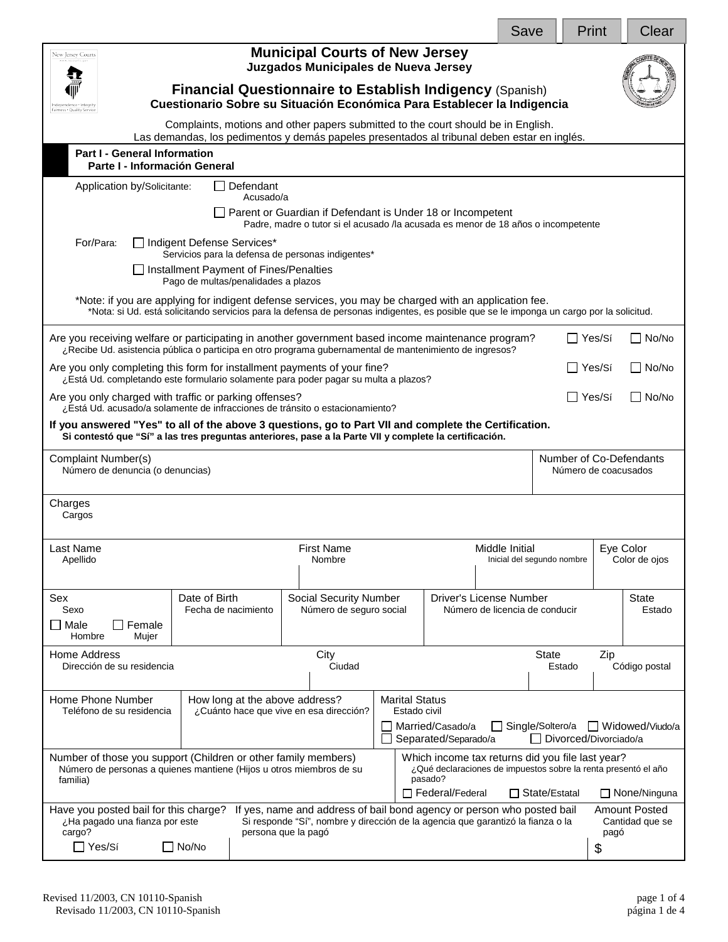|                                                                                                                                                                                                                                                                                                                                                             |                                                                                                                                                                     |                                                                                                                                                 |  |                                              | Save |                 | Print                      | Clear                  |
|-------------------------------------------------------------------------------------------------------------------------------------------------------------------------------------------------------------------------------------------------------------------------------------------------------------------------------------------------------------|---------------------------------------------------------------------------------------------------------------------------------------------------------------------|-------------------------------------------------------------------------------------------------------------------------------------------------|--|----------------------------------------------|------|-----------------|----------------------------|------------------------|
| <b>Municipal Courts of New Jersey</b><br>New Jersey Courts<br>Juzgados Municipales de Nueva Jersey<br><b>Financial Questionnaire to Establish Indigency (Spanish)</b>                                                                                                                                                                                       |                                                                                                                                                                     |                                                                                                                                                 |  |                                              |      |                 |                            |                        |
| Cuestionario Sobre su Situación Económica Para Establecer la Indigencia<br>airness . Quality Service<br>Complaints, motions and other papers submitted to the court should be in English.                                                                                                                                                                   |                                                                                                                                                                     |                                                                                                                                                 |  |                                              |      |                 |                            |                        |
|                                                                                                                                                                                                                                                                                                                                                             | Las demandas, los pedimentos y demás papeles presentados al tribunal deben estar en inglés.<br><b>Part I - General Information</b><br>Parte I - Información General |                                                                                                                                                 |  |                                              |      |                 |                            |                        |
| Defendant<br>Application by/Solicitante:<br>Acusado/a                                                                                                                                                                                                                                                                                                       |                                                                                                                                                                     |                                                                                                                                                 |  |                                              |      |                 |                            |                        |
|                                                                                                                                                                                                                                                                                                                                                             |                                                                                                                                                                     | Parent or Guardian if Defendant is Under 18 or Incompetent<br>Padre, madre o tutor si el acusado /la acusada es menor de 18 años o incompetente |  |                                              |      |                 |                            |                        |
| For/Para:<br>Indigent Defense Services*<br>Servicios para la defensa de personas indigentes*<br>□ Installment Payment of Fines/Penalties                                                                                                                                                                                                                    |                                                                                                                                                                     |                                                                                                                                                 |  |                                              |      |                 |                            |                        |
| Pago de multas/penalidades a plazos<br>*Note: if you are applying for indigent defense services, you may be charged with an application fee.<br>*Nota: si Ud. está solicitando servicios para la defensa de personas indigentes, es posible que se le imponga un cargo por la solicitud.                                                                    |                                                                                                                                                                     |                                                                                                                                                 |  |                                              |      |                 |                            |                        |
| Are you receiving welfare or participating in another government based income maintenance program?<br>¿Recibe Ud. asistencia pública o participa en otro programa gubernamental de mantenimiento de ingresos?                                                                                                                                               |                                                                                                                                                                     |                                                                                                                                                 |  |                                              |      |                 | ∏ Yes/Sí                   | $\Box$ No/No           |
| Are you only completing this form for installment payments of your fine?<br>¿Está Ud. completando este formulario solamente para poder pagar su multa a plazos?                                                                                                                                                                                             |                                                                                                                                                                     |                                                                                                                                                 |  |                                              |      |                 | ∐ Yes/Sí                   | $\Box$ No/No           |
| Are you only charged with traffic or parking offenses?<br>$\Box$ Yes/Sí<br>$\Box$ No/No<br>¿Está Ud. acusado/a solamente de infracciones de tránsito o estacionamiento?                                                                                                                                                                                     |                                                                                                                                                                     |                                                                                                                                                 |  |                                              |      |                 |                            |                        |
| If you answered "Yes" to all of the above 3 questions, go to Part VII and complete the Certification.<br>Si contestó que "Sí" a las tres preguntas anteriores, pase a la Parte VII y complete la certificación.                                                                                                                                             |                                                                                                                                                                     |                                                                                                                                                 |  |                                              |      |                 |                            |                        |
| Number of Co-Defendants<br>Complaint Number(s)<br>Número de denuncia (o denuncias)<br>Número de coacusados                                                                                                                                                                                                                                                  |                                                                                                                                                                     |                                                                                                                                                 |  |                                              |      |                 |                            |                        |
| Charges<br>Cargos                                                                                                                                                                                                                                                                                                                                           |                                                                                                                                                                     |                                                                                                                                                 |  |                                              |      |                 |                            |                        |
| .ast Name<br>Apellido                                                                                                                                                                                                                                                                                                                                       | First Name<br>Nombre                                                                                                                                                |                                                                                                                                                 |  | Middle Initial<br>Inicial del segundo nombre |      |                 | Eve Color<br>Color de ojos |                        |
| Sex<br>Sexo<br>Female<br>l Male<br>Hombre<br>Mujer                                                                                                                                                                                                                                                                                                          | Date of Birth<br>Fecha de nacimiento                                                                                                                                | Social Security Number<br><b>Driver's License Number</b><br>Número de seguro social<br>Número de licencia de conducir                           |  |                                              |      |                 |                            | <b>State</b><br>Estado |
| Home Address<br>Dirección de su residencia                                                                                                                                                                                                                                                                                                                  |                                                                                                                                                                     | City<br>Ciudad                                                                                                                                  |  |                                              |      | State<br>Estado | Zip                        | Código postal          |
| Home Phone Number<br>How long at the above address?<br><b>Marital Status</b><br>Teléfono de su residencia<br>¿Cuánto hace que vive en esa dirección?<br>Estado civil<br>Married/Casado/a<br>Single/Soltero/a<br>Widowed/Viudo/a<br>Divorced/Divorciado/a<br>Separated/Separado/a                                                                            |                                                                                                                                                                     |                                                                                                                                                 |  |                                              |      |                 |                            |                        |
| Number of those you support (Children or other family members)<br>Which income tax returns did you file last year?<br>¿Qué declaraciones de impuestos sobre la renta presentó el año<br>Número de personas a quienes mantiene (Hijos u otros miembros de su<br>pasado?<br>familia)<br>$\Box$ Federal/Federal<br>$\Box$ State/Estatal<br>$\Box$ None/Ninguna |                                                                                                                                                                     |                                                                                                                                                 |  |                                              |      |                 |                            |                        |
| Have you posted bail for this charge?<br>If yes, name and address of bail bond agency or person who posted bail<br><b>Amount Posted</b><br>Si responde "Sí", nombre y dirección de la agencia que garantizó la fianza o la<br>¿Ha pagado una fianza por este<br>Cantidad que se<br>cargo?<br>persona que la pagó<br>pagó<br>$\Box$ Yes/Sí<br>$\Box$ No/No   |                                                                                                                                                                     |                                                                                                                                                 |  |                                              |      |                 |                            |                        |
|                                                                                                                                                                                                                                                                                                                                                             |                                                                                                                                                                     |                                                                                                                                                 |  |                                              |      |                 | \$                         |                        |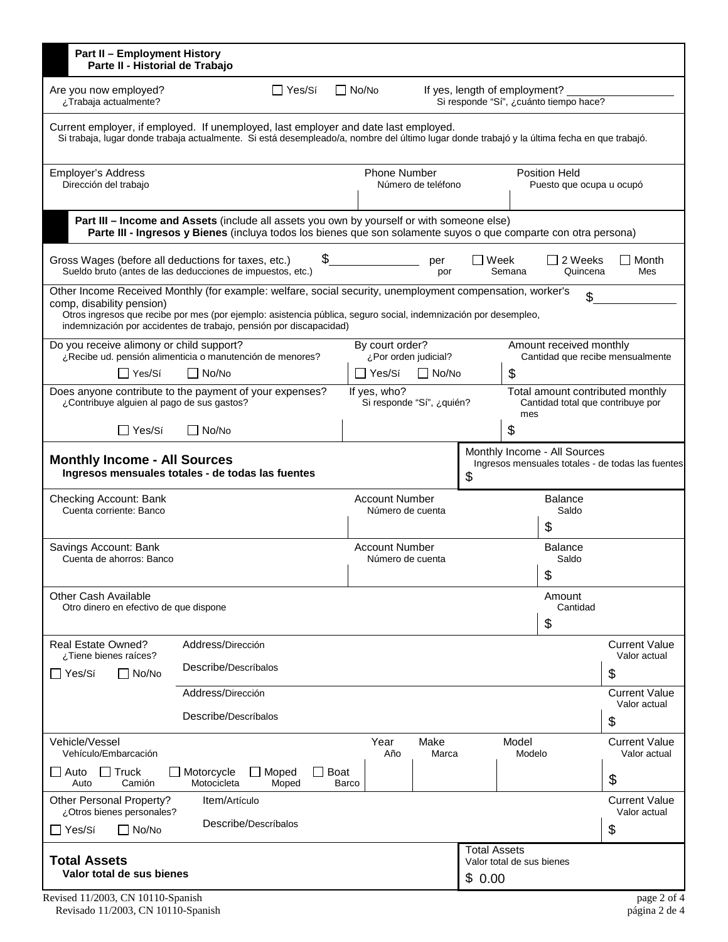| $\Box$ Yes/Sí<br>$\Box$ No/No<br>Are you now employed?<br>If yes, length of employment?<br>Si responde "Sí", ¿cuánto tiempo hace?<br>¿Trabaja actualmente?<br>Current employer, if employed. If unemployed, last employer and date last employed.<br>Si trabaja, lugar donde trabaja actualmente. Si está desempleado/a, nombre del último lugar donde trabajó y la última fecha en que trabajó.<br><b>Phone Number</b><br>Position Held<br><b>Employer's Address</b><br>Número de teléfono<br>Dirección del trabajo<br>Puesto que ocupa u ocupó<br>Part III - Income and Assets (include all assets you own by yourself or with someone else)<br>Parte III - Ingresos y Bienes (incluya todos los bienes que son solamente suyos o que comparte con otra persona)<br>\$<br>2 Weeks<br>Gross Wages (before all deductions for taxes, etc.)<br>Week<br>Month<br>per<br>Sueldo bruto (antes de las deducciones de impuestos, etc.)<br>Semana<br>Quincena<br>Mes<br>por<br>Other Income Received Monthly (for example: welfare, social security, unemployment compensation, worker's<br>\$<br>comp, disability pension)<br>Otros ingresos que recibe por mes (por ejemplo: asistencia pública, seguro social, indemnización por desempleo,<br>indemnización por accidentes de trabajo, pensión por discapacidad)<br>By court order?<br>Do you receive alimony or child support?<br>Amount received monthly<br>¿Recibe ud. pensión alimenticia o manutención de menores?<br>¿Por orden judicial?<br>Cantidad que recibe mensualmente<br>\$<br>$\Box$ No/No<br>$\Box$ No/No<br>□ Yes/Sí<br>l lYes/Sí<br>Does anyone contribute to the payment of your expenses?<br>Total amount contributed monthly<br>If yes, who?<br>Si responde "Sí", ¿quién?<br>¿Contribuye alguien al pago de sus gastos?<br>Cantidad total que contribuye por<br>mes<br>$\boldsymbol{\mathsf{S}}$<br>$\Box$ Yes/Sí<br>No/No<br>Monthly Income - All Sources<br><b>Monthly Income - All Sources</b><br>Ingresos mensuales totales - de todas las fuentes<br>Ingresos mensuales totales - de todas las fuentes<br>\$<br><b>Account Number</b><br>Checking Account: Bank<br><b>Balance</b><br>Cuenta corriente: Banco<br>Número de cuenta<br>Saldo<br>\$<br><b>Account Number</b><br>Savings Account: Bank<br><b>Balance</b><br>Cuenta de ahorros: Banco<br>Número de cuenta<br>Saldo<br>¢<br>Ψ<br><b>Other Cash Available</b><br>Amount<br>Otro dinero en efectivo de que dispone<br>Cantidad<br>\$<br>Address/Dirección<br><b>Current Value</b><br>Real Estate Owned?<br>¿Tiene bienes raíces?<br>Valor actual<br>Describe/Descríbalos<br>\$<br>$\Box$ No/No<br>∏ Yes/Sí<br>Address/Dirección<br><b>Current Value</b><br>Valor actual<br>Describe/Descríbalos<br>\$<br>Vehicle/Vessel<br>Year<br>Make<br>Model<br><b>Current Value</b><br>Vehículo/Embarcación<br>Año<br>Modelo<br>Valor actual<br>Marca<br>$\Box$ Truck<br>Motorcycle<br>$\Box$ Moped<br><b>Boat</b><br>Auto<br>\$<br>Camión<br>Motocicleta<br>Auto<br>Moped<br>Barco<br><b>Current Value</b><br>Other Personal Property?<br>Item/Artículo<br>¿Otros bienes personales?<br>Valor actual<br>Describe/Descríbalos<br>\$<br>∏ Yes/Sí<br>$\Box$ No/No<br><b>Total Assets</b><br><b>Total Assets</b><br>Valor total de sus bienes | <b>Part II - Employment History</b><br>Parte II - Historial de Trabajo |  |  |  |  |  |  |  |  |
|---------------------------------------------------------------------------------------------------------------------------------------------------------------------------------------------------------------------------------------------------------------------------------------------------------------------------------------------------------------------------------------------------------------------------------------------------------------------------------------------------------------------------------------------------------------------------------------------------------------------------------------------------------------------------------------------------------------------------------------------------------------------------------------------------------------------------------------------------------------------------------------------------------------------------------------------------------------------------------------------------------------------------------------------------------------------------------------------------------------------------------------------------------------------------------------------------------------------------------------------------------------------------------------------------------------------------------------------------------------------------------------------------------------------------------------------------------------------------------------------------------------------------------------------------------------------------------------------------------------------------------------------------------------------------------------------------------------------------------------------------------------------------------------------------------------------------------------------------------------------------------------------------------------------------------------------------------------------------------------------------------------------------------------------------------------------------------------------------------------------------------------------------------------------------------------------------------------------------------------------------------------------------------------------------------------------------------------------------------------------------------------------------------------------------------------------------------------------------------------------------------------------------------------------------------------------------------------------------------------------------------------------------------------------------------------------------------------------------------------------------------------------------------------------------------------------------------------------------------------------------------------------------------------------------------------------------------------------------------------------------------------------------------------------------------------------------------------------------------------------------------------------------------------------------------------------------------------------------------------------------------------|------------------------------------------------------------------------|--|--|--|--|--|--|--|--|
|                                                                                                                                                                                                                                                                                                                                                                                                                                                                                                                                                                                                                                                                                                                                                                                                                                                                                                                                                                                                                                                                                                                                                                                                                                                                                                                                                                                                                                                                                                                                                                                                                                                                                                                                                                                                                                                                                                                                                                                                                                                                                                                                                                                                                                                                                                                                                                                                                                                                                                                                                                                                                                                                                                                                                                                                                                                                                                                                                                                                                                                                                                                                                                                                                                                               |                                                                        |  |  |  |  |  |  |  |  |
|                                                                                                                                                                                                                                                                                                                                                                                                                                                                                                                                                                                                                                                                                                                                                                                                                                                                                                                                                                                                                                                                                                                                                                                                                                                                                                                                                                                                                                                                                                                                                                                                                                                                                                                                                                                                                                                                                                                                                                                                                                                                                                                                                                                                                                                                                                                                                                                                                                                                                                                                                                                                                                                                                                                                                                                                                                                                                                                                                                                                                                                                                                                                                                                                                                                               |                                                                        |  |  |  |  |  |  |  |  |
|                                                                                                                                                                                                                                                                                                                                                                                                                                                                                                                                                                                                                                                                                                                                                                                                                                                                                                                                                                                                                                                                                                                                                                                                                                                                                                                                                                                                                                                                                                                                                                                                                                                                                                                                                                                                                                                                                                                                                                                                                                                                                                                                                                                                                                                                                                                                                                                                                                                                                                                                                                                                                                                                                                                                                                                                                                                                                                                                                                                                                                                                                                                                                                                                                                                               |                                                                        |  |  |  |  |  |  |  |  |
|                                                                                                                                                                                                                                                                                                                                                                                                                                                                                                                                                                                                                                                                                                                                                                                                                                                                                                                                                                                                                                                                                                                                                                                                                                                                                                                                                                                                                                                                                                                                                                                                                                                                                                                                                                                                                                                                                                                                                                                                                                                                                                                                                                                                                                                                                                                                                                                                                                                                                                                                                                                                                                                                                                                                                                                                                                                                                                                                                                                                                                                                                                                                                                                                                                                               |                                                                        |  |  |  |  |  |  |  |  |
|                                                                                                                                                                                                                                                                                                                                                                                                                                                                                                                                                                                                                                                                                                                                                                                                                                                                                                                                                                                                                                                                                                                                                                                                                                                                                                                                                                                                                                                                                                                                                                                                                                                                                                                                                                                                                                                                                                                                                                                                                                                                                                                                                                                                                                                                                                                                                                                                                                                                                                                                                                                                                                                                                                                                                                                                                                                                                                                                                                                                                                                                                                                                                                                                                                                               |                                                                        |  |  |  |  |  |  |  |  |
|                                                                                                                                                                                                                                                                                                                                                                                                                                                                                                                                                                                                                                                                                                                                                                                                                                                                                                                                                                                                                                                                                                                                                                                                                                                                                                                                                                                                                                                                                                                                                                                                                                                                                                                                                                                                                                                                                                                                                                                                                                                                                                                                                                                                                                                                                                                                                                                                                                                                                                                                                                                                                                                                                                                                                                                                                                                                                                                                                                                                                                                                                                                                                                                                                                                               |                                                                        |  |  |  |  |  |  |  |  |
|                                                                                                                                                                                                                                                                                                                                                                                                                                                                                                                                                                                                                                                                                                                                                                                                                                                                                                                                                                                                                                                                                                                                                                                                                                                                                                                                                                                                                                                                                                                                                                                                                                                                                                                                                                                                                                                                                                                                                                                                                                                                                                                                                                                                                                                                                                                                                                                                                                                                                                                                                                                                                                                                                                                                                                                                                                                                                                                                                                                                                                                                                                                                                                                                                                                               |                                                                        |  |  |  |  |  |  |  |  |
|                                                                                                                                                                                                                                                                                                                                                                                                                                                                                                                                                                                                                                                                                                                                                                                                                                                                                                                                                                                                                                                                                                                                                                                                                                                                                                                                                                                                                                                                                                                                                                                                                                                                                                                                                                                                                                                                                                                                                                                                                                                                                                                                                                                                                                                                                                                                                                                                                                                                                                                                                                                                                                                                                                                                                                                                                                                                                                                                                                                                                                                                                                                                                                                                                                                               |                                                                        |  |  |  |  |  |  |  |  |
|                                                                                                                                                                                                                                                                                                                                                                                                                                                                                                                                                                                                                                                                                                                                                                                                                                                                                                                                                                                                                                                                                                                                                                                                                                                                                                                                                                                                                                                                                                                                                                                                                                                                                                                                                                                                                                                                                                                                                                                                                                                                                                                                                                                                                                                                                                                                                                                                                                                                                                                                                                                                                                                                                                                                                                                                                                                                                                                                                                                                                                                                                                                                                                                                                                                               |                                                                        |  |  |  |  |  |  |  |  |
|                                                                                                                                                                                                                                                                                                                                                                                                                                                                                                                                                                                                                                                                                                                                                                                                                                                                                                                                                                                                                                                                                                                                                                                                                                                                                                                                                                                                                                                                                                                                                                                                                                                                                                                                                                                                                                                                                                                                                                                                                                                                                                                                                                                                                                                                                                                                                                                                                                                                                                                                                                                                                                                                                                                                                                                                                                                                                                                                                                                                                                                                                                                                                                                                                                                               |                                                                        |  |  |  |  |  |  |  |  |
|                                                                                                                                                                                                                                                                                                                                                                                                                                                                                                                                                                                                                                                                                                                                                                                                                                                                                                                                                                                                                                                                                                                                                                                                                                                                                                                                                                                                                                                                                                                                                                                                                                                                                                                                                                                                                                                                                                                                                                                                                                                                                                                                                                                                                                                                                                                                                                                                                                                                                                                                                                                                                                                                                                                                                                                                                                                                                                                                                                                                                                                                                                                                                                                                                                                               |                                                                        |  |  |  |  |  |  |  |  |
|                                                                                                                                                                                                                                                                                                                                                                                                                                                                                                                                                                                                                                                                                                                                                                                                                                                                                                                                                                                                                                                                                                                                                                                                                                                                                                                                                                                                                                                                                                                                                                                                                                                                                                                                                                                                                                                                                                                                                                                                                                                                                                                                                                                                                                                                                                                                                                                                                                                                                                                                                                                                                                                                                                                                                                                                                                                                                                                                                                                                                                                                                                                                                                                                                                                               |                                                                        |  |  |  |  |  |  |  |  |
|                                                                                                                                                                                                                                                                                                                                                                                                                                                                                                                                                                                                                                                                                                                                                                                                                                                                                                                                                                                                                                                                                                                                                                                                                                                                                                                                                                                                                                                                                                                                                                                                                                                                                                                                                                                                                                                                                                                                                                                                                                                                                                                                                                                                                                                                                                                                                                                                                                                                                                                                                                                                                                                                                                                                                                                                                                                                                                                                                                                                                                                                                                                                                                                                                                                               |                                                                        |  |  |  |  |  |  |  |  |
|                                                                                                                                                                                                                                                                                                                                                                                                                                                                                                                                                                                                                                                                                                                                                                                                                                                                                                                                                                                                                                                                                                                                                                                                                                                                                                                                                                                                                                                                                                                                                                                                                                                                                                                                                                                                                                                                                                                                                                                                                                                                                                                                                                                                                                                                                                                                                                                                                                                                                                                                                                                                                                                                                                                                                                                                                                                                                                                                                                                                                                                                                                                                                                                                                                                               |                                                                        |  |  |  |  |  |  |  |  |
|                                                                                                                                                                                                                                                                                                                                                                                                                                                                                                                                                                                                                                                                                                                                                                                                                                                                                                                                                                                                                                                                                                                                                                                                                                                                                                                                                                                                                                                                                                                                                                                                                                                                                                                                                                                                                                                                                                                                                                                                                                                                                                                                                                                                                                                                                                                                                                                                                                                                                                                                                                                                                                                                                                                                                                                                                                                                                                                                                                                                                                                                                                                                                                                                                                                               |                                                                        |  |  |  |  |  |  |  |  |
|                                                                                                                                                                                                                                                                                                                                                                                                                                                                                                                                                                                                                                                                                                                                                                                                                                                                                                                                                                                                                                                                                                                                                                                                                                                                                                                                                                                                                                                                                                                                                                                                                                                                                                                                                                                                                                                                                                                                                                                                                                                                                                                                                                                                                                                                                                                                                                                                                                                                                                                                                                                                                                                                                                                                                                                                                                                                                                                                                                                                                                                                                                                                                                                                                                                               |                                                                        |  |  |  |  |  |  |  |  |
|                                                                                                                                                                                                                                                                                                                                                                                                                                                                                                                                                                                                                                                                                                                                                                                                                                                                                                                                                                                                                                                                                                                                                                                                                                                                                                                                                                                                                                                                                                                                                                                                                                                                                                                                                                                                                                                                                                                                                                                                                                                                                                                                                                                                                                                                                                                                                                                                                                                                                                                                                                                                                                                                                                                                                                                                                                                                                                                                                                                                                                                                                                                                                                                                                                                               |                                                                        |  |  |  |  |  |  |  |  |
|                                                                                                                                                                                                                                                                                                                                                                                                                                                                                                                                                                                                                                                                                                                                                                                                                                                                                                                                                                                                                                                                                                                                                                                                                                                                                                                                                                                                                                                                                                                                                                                                                                                                                                                                                                                                                                                                                                                                                                                                                                                                                                                                                                                                                                                                                                                                                                                                                                                                                                                                                                                                                                                                                                                                                                                                                                                                                                                                                                                                                                                                                                                                                                                                                                                               |                                                                        |  |  |  |  |  |  |  |  |
|                                                                                                                                                                                                                                                                                                                                                                                                                                                                                                                                                                                                                                                                                                                                                                                                                                                                                                                                                                                                                                                                                                                                                                                                                                                                                                                                                                                                                                                                                                                                                                                                                                                                                                                                                                                                                                                                                                                                                                                                                                                                                                                                                                                                                                                                                                                                                                                                                                                                                                                                                                                                                                                                                                                                                                                                                                                                                                                                                                                                                                                                                                                                                                                                                                                               |                                                                        |  |  |  |  |  |  |  |  |
|                                                                                                                                                                                                                                                                                                                                                                                                                                                                                                                                                                                                                                                                                                                                                                                                                                                                                                                                                                                                                                                                                                                                                                                                                                                                                                                                                                                                                                                                                                                                                                                                                                                                                                                                                                                                                                                                                                                                                                                                                                                                                                                                                                                                                                                                                                                                                                                                                                                                                                                                                                                                                                                                                                                                                                                                                                                                                                                                                                                                                                                                                                                                                                                                                                                               |                                                                        |  |  |  |  |  |  |  |  |
|                                                                                                                                                                                                                                                                                                                                                                                                                                                                                                                                                                                                                                                                                                                                                                                                                                                                                                                                                                                                                                                                                                                                                                                                                                                                                                                                                                                                                                                                                                                                                                                                                                                                                                                                                                                                                                                                                                                                                                                                                                                                                                                                                                                                                                                                                                                                                                                                                                                                                                                                                                                                                                                                                                                                                                                                                                                                                                                                                                                                                                                                                                                                                                                                                                                               |                                                                        |  |  |  |  |  |  |  |  |
|                                                                                                                                                                                                                                                                                                                                                                                                                                                                                                                                                                                                                                                                                                                                                                                                                                                                                                                                                                                                                                                                                                                                                                                                                                                                                                                                                                                                                                                                                                                                                                                                                                                                                                                                                                                                                                                                                                                                                                                                                                                                                                                                                                                                                                                                                                                                                                                                                                                                                                                                                                                                                                                                                                                                                                                                                                                                                                                                                                                                                                                                                                                                                                                                                                                               |                                                                        |  |  |  |  |  |  |  |  |
|                                                                                                                                                                                                                                                                                                                                                                                                                                                                                                                                                                                                                                                                                                                                                                                                                                                                                                                                                                                                                                                                                                                                                                                                                                                                                                                                                                                                                                                                                                                                                                                                                                                                                                                                                                                                                                                                                                                                                                                                                                                                                                                                                                                                                                                                                                                                                                                                                                                                                                                                                                                                                                                                                                                                                                                                                                                                                                                                                                                                                                                                                                                                                                                                                                                               |                                                                        |  |  |  |  |  |  |  |  |
| Valor total de sus bienes<br>\$0.00                                                                                                                                                                                                                                                                                                                                                                                                                                                                                                                                                                                                                                                                                                                                                                                                                                                                                                                                                                                                                                                                                                                                                                                                                                                                                                                                                                                                                                                                                                                                                                                                                                                                                                                                                                                                                                                                                                                                                                                                                                                                                                                                                                                                                                                                                                                                                                                                                                                                                                                                                                                                                                                                                                                                                                                                                                                                                                                                                                                                                                                                                                                                                                                                                           |                                                                        |  |  |  |  |  |  |  |  |

Revised 11/2003, CN 10110-Spanish page 2 of 4 Revisado 11/2003, CN 10110-Spanish página 2 de 4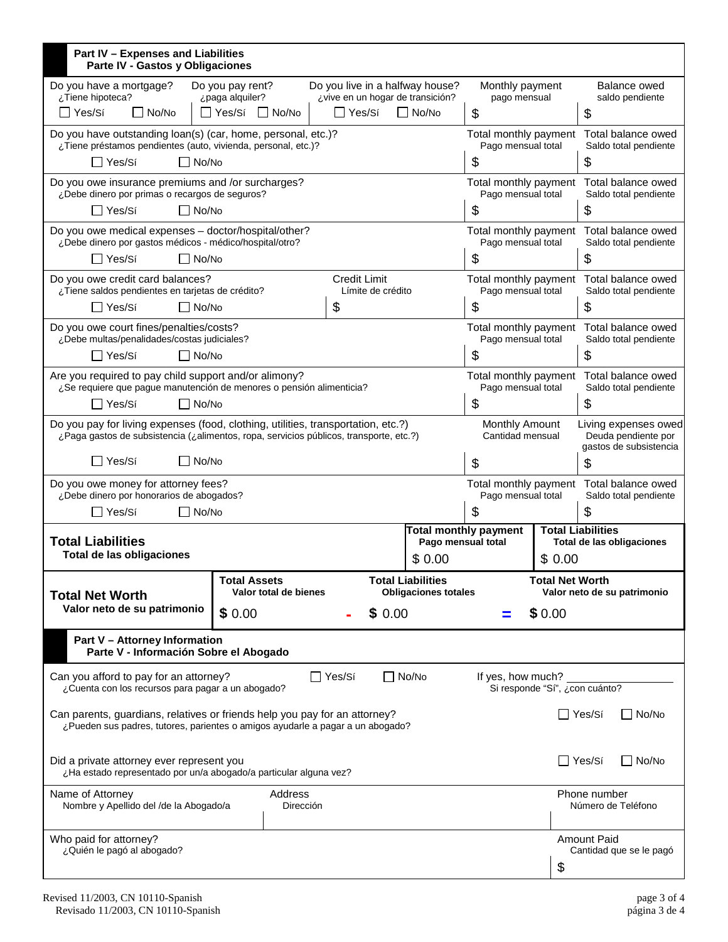| Part IV - Expenses and Liabilities<br>Parte IV - Gastos y Obligaciones                                                                                                              |                                                                                                                               |                     |                                                         |                                                    |                                                                      |        |                                                                       |  |
|-------------------------------------------------------------------------------------------------------------------------------------------------------------------------------------|-------------------------------------------------------------------------------------------------------------------------------|---------------------|---------------------------------------------------------|----------------------------------------------------|----------------------------------------------------------------------|--------|-----------------------------------------------------------------------|--|
| Do you live in a halfway house?<br>Do you have a mortgage?<br>Do you pay rent?<br>¿Tiene hipoteca?<br>¿vive en un hogar de transición?<br>¿paga alquiler?                           |                                                                                                                               |                     | Monthly payment<br>pago mensual                         |                                                    | Balance owed<br>saldo pendiente                                      |        |                                                                       |  |
| $\Box$ No/No<br>No/No<br>$\Box$ Yes/Sí<br>$\Box$ No/No<br>∏ Yes/Sí                                                                                                                  |                                                                                                                               |                     |                                                         | $\boldsymbol{\mathsf{S}}$                          |                                                                      | \$     |                                                                       |  |
| Do you have outstanding loan(s) (car, home, personal, etc.)?<br>¿Tiene préstamos pendientes (auto, vivienda, personal, etc.)?                                                       |                                                                                                                               |                     |                                                         |                                                    | Total monthly payment<br>Pago mensual total                          |        | Total balance owed<br>Saldo total pendiente                           |  |
| □ Yes/Sí<br>$\Box$ No/No                                                                                                                                                            |                                                                                                                               |                     |                                                         |                                                    | \$                                                                   |        | \$                                                                    |  |
| Do you owe insurance premiums and /or surcharges?<br>¿Debe dinero por primas o recargos de seguros?                                                                                 |                                                                                                                               |                     |                                                         |                                                    | Pago mensual total                                                   |        | Total monthly payment Total balance owed<br>Saldo total pendiente     |  |
| $\Box$ No/No<br>$\Box$ Yes/Sí                                                                                                                                                       |                                                                                                                               |                     |                                                         |                                                    | \$                                                                   |        | \$                                                                    |  |
| Do you owe medical expenses - doctor/hospital/other?<br>¿Debe dinero por gastos médicos - médico/hospital/otro?                                                                     |                                                                                                                               |                     |                                                         |                                                    | Total monthly payment<br>Pago mensual total                          |        | Total balance owed<br>Saldo total pendiente                           |  |
| $\Box$ No/No<br>∏ Yes/Sí                                                                                                                                                            |                                                                                                                               |                     |                                                         |                                                    | \$                                                                   |        | \$                                                                    |  |
| Do you owe credit card balances?<br>¿Tiene saldos pendientes en tarjetas de crédito?                                                                                                |                                                                                                                               | <b>Credit Limit</b> | Límite de crédito                                       |                                                    | Total monthly payment<br>Pago mensual total                          |        | Total balance owed<br>Saldo total pendiente                           |  |
| $\Box$ No/No<br>l lYes/Sí                                                                                                                                                           |                                                                                                                               | \$                  |                                                         |                                                    | \$                                                                   |        | \$                                                                    |  |
| Do you owe court fines/penalties/costs?<br>¿Debe multas/penalidades/costas judiciales?                                                                                              |                                                                                                                               |                     |                                                         |                                                    | Total monthly payment<br>Pago mensual total                          |        | Total balance owed<br>Saldo total pendiente                           |  |
| $\Box$ No/No<br>l Yes/Sí                                                                                                                                                            |                                                                                                                               |                     |                                                         |                                                    | \$                                                                   |        | \$                                                                    |  |
|                                                                                                                                                                                     | Are you required to pay child support and/or alimony?<br>¿Se requiere que pague manutención de menores o pensión alimenticia? |                     |                                                         |                                                    | Total monthly payment<br>Pago mensual total                          |        | Total balance owed<br>Saldo total pendiente                           |  |
| $\Box$ Yes/Sí<br>l No/No                                                                                                                                                            |                                                                                                                               |                     |                                                         |                                                    | \$                                                                   |        | \$                                                                    |  |
| Do you pay for living expenses (food, clothing, utilities, transportation, etc.?)<br>¿Paga gastos de subsistencia (¿alimentos, ropa, servicios públicos, transporte, etc.?)         |                                                                                                                               |                     |                                                         |                                                    | <b>Monthly Amount</b><br>Cantidad mensual                            |        | Living expenses owed<br>Deuda pendiente por<br>gastos de subsistencia |  |
| ∏ Yes/Sí<br>$\Box$ No/No                                                                                                                                                            |                                                                                                                               |                     |                                                         |                                                    | \$                                                                   |        | S                                                                     |  |
| Do you owe money for attorney fees?<br>¿Debe dinero por honorarios de abogados?                                                                                                     |                                                                                                                               |                     |                                                         |                                                    | Total monthly payment Total balance owed<br>Pago mensual total<br>\$ |        | Saldo total pendiente                                                 |  |
| ¯ Yes/Sí                                                                                                                                                                            | $\Box$ No/No                                                                                                                  |                     |                                                         |                                                    |                                                                      |        | \$                                                                    |  |
| <b>Total Liabilities</b><br>Total de las obligaciones                                                                                                                               |                                                                                                                               |                     |                                                         | <b>Total monthly payment</b><br>Pago mensual total |                                                                      |        | <b>Total Liabilities</b><br>Total de las obligaciones                 |  |
|                                                                                                                                                                                     |                                                                                                                               |                     |                                                         | \$0.00                                             |                                                                      | \$0.00 |                                                                       |  |
| <b>Total Assets</b><br>Valor total de bienes<br><b>Total Net Worth</b>                                                                                                              |                                                                                                                               |                     | <b>Total Liabilities</b><br><b>Obligaciones totales</b> |                                                    |                                                                      |        | <b>Total Net Worth</b><br>Valor neto de su patrimonio                 |  |
| Valor neto de su patrimonio                                                                                                                                                         | \$0.00                                                                                                                        |                     | \$0.00                                                  |                                                    |                                                                      | \$0.00 |                                                                       |  |
| <b>Part V - Attorney Information</b><br>Parte V - Información Sobre el Abogado                                                                                                      |                                                                                                                               |                     |                                                         |                                                    |                                                                      |        |                                                                       |  |
| $\Box$ Yes/Sí<br>$\Box$ No/No<br>Can you afford to pay for an attorney?<br>If yes, how much?<br>Si responde "Sí", ¿con cuánto?<br>¿Cuenta con los recursos para pagar a un abogado? |                                                                                                                               |                     |                                                         |                                                    |                                                                      |        |                                                                       |  |
| Can parents, guardians, relatives or friends help you pay for an attorney?<br>¿Pueden sus padres, tutores, parientes o amigos ayudarle a pagar a un abogado?                        |                                                                                                                               |                     |                                                         |                                                    |                                                                      |        | $\Box$ No/No<br>l IYes/Sí                                             |  |
| Did a private attorney ever represent you<br>¿Ha estado representado por un/a abogado/a particular alguna vez?                                                                      |                                                                                                                               |                     |                                                         |                                                    | ∏ Yes/Sí<br>$\Box$ No/No                                             |        |                                                                       |  |
| Name of Attorney<br>Address<br>Phone number<br>Nombre y Apellido del /de la Abogado/a<br>Dirección                                                                                  |                                                                                                                               |                     |                                                         | Número de Teléfono                                 |                                                                      |        |                                                                       |  |
| Who paid for attorney?<br>¿Quién le pagó al abogado?                                                                                                                                |                                                                                                                               |                     |                                                         |                                                    | <b>Amount Paid</b><br>Cantidad que se le pagó                        |        |                                                                       |  |
|                                                                                                                                                                                     |                                                                                                                               |                     |                                                         |                                                    |                                                                      | \$     |                                                                       |  |